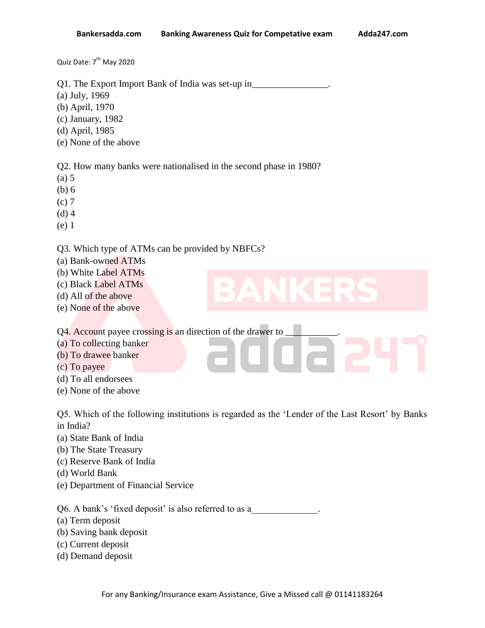Quiz Date: 7<sup>th</sup> May 2020

Q1. The Export Import Bank of India was set-up in\_\_\_\_\_\_\_\_\_\_\_\_\_\_\_\_.

- (a) July, 1969
- (b) April, 1970
- (c) January, 1982
- (d) April, 1985
- (e) None of the above

Q2. How many banks were nationalised in the second phase in 1980?

- (a) 5
- (b) 6
- (c) 7
- (d) 4
- (e) 1

## Q3. Which type of ATMs can be provided by NBFCs?

- (a) Bank-owned ATMs
- (b) White Label ATMs
- (c) Black Label ATMs
- (d) All of the above
- (e) None of the above

Q4. Account payee crossing is an direction of the drawer to

- (a) To collecting banker
- (b) To drawee banker
- (c) To payee
- (d) To all endorsees
- (e) None of the above

Q5. Which of the following institutions is regarded as the "Lender of the Last Resort" by Banks in India?

- (a) State Bank of India
- (b) The State Treasury
- (c) Reserve Bank of India
- (d) World Bank
- (e) Department of Financial Service

Q6. A bank's 'fixed deposit' is also referred to as a

- (a) Term deposit
- (b) Saving bank deposit
- (c) Current deposit
- (d) Demand deposit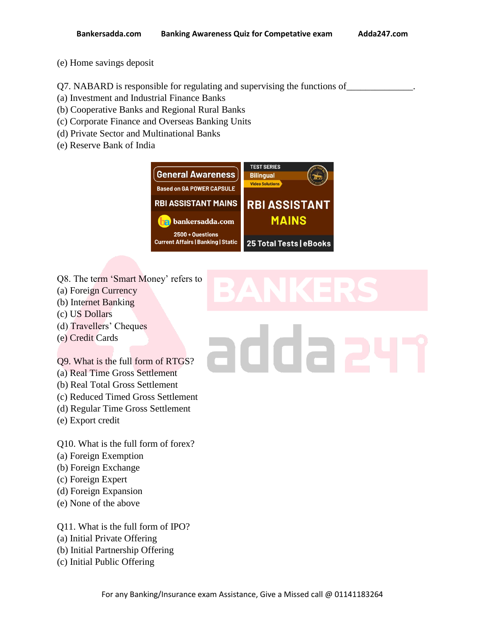- (e) Home savings deposit
- Q7. NABARD is responsible for regulating and supervising the functions of
- (a) Investment and Industrial Finance Banks
- (b) Cooperative Banks and Regional Rural Banks
- (c) Corporate Finance and Overseas Banking Units
- (d) Private Sector and Multinational Banks
- (e) Reserve Bank of India



- Q8. The term 'Smart Money' refers to
- (a) Foreign Currency
- (b) Internet Banking
- (c) US Dollars
- (d) Travellers" Cheques
- (e) Credit Cards

## Q9. What is the full form of RTGS?

- (a) Real Time Gross Settlement
- (b) Real Total Gross Settlement
- (c) Reduced Timed Gross Settlement
- (d) Regular Time Gross Settlement
- (e) Export credit

Q10. What is the full form of forex?

- (a) Foreign Exemption
- (b) Foreign Exchange
- (c) Foreign Expert
- (d) Foreign Expansion
- (e) None of the above

Q11. What is the full form of IPO?

- (a) Initial Private Offering
- (b) Initial Partnership Offering
- (c) Initial Public Offering

## addaa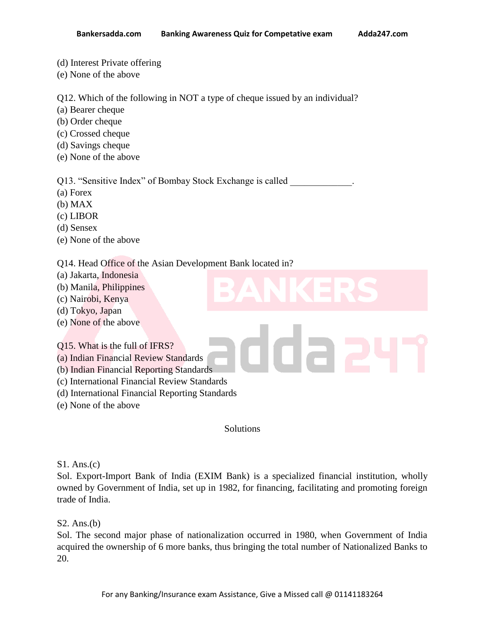- (d) Interest Private offering
- (e) None of the above

Q12. Which of the following in NOT a type of cheque issued by an individual?

- (a) Bearer cheque
- (b) Order cheque
- (c) Crossed cheque
- (d) Savings cheque
- (e) None of the above

Q13. "Sensitive Index" of Bombay Stock Exchange is called

- (a) Forex
- (b) MAX
- (c) LIBOR
- (d) Sensex
- (e) None of the above

Q14. Head Office of the Asian Development Bank located in?

- (a) Jakarta, Indonesia
- (b) Manila, Philippines
- (c) Nairobi, Kenya
- (d) Tokyo, Japan
- (e) None of the above

Q15. What is the full of IFRS?

- (a) Indian Financial Review Standards
- (b) Indian Financial Reporting Standards
- (c) International Financial Review Standards
- (d) International Financial Reporting Standards
- (e) None of the above

Solutions

S1. Ans.(c)

Sol. Export-Import Bank of India (EXIM Bank) is a specialized financial institution, wholly owned by Government of India, set up in 1982, for financing, facilitating and promoting foreign trade of India.

## S2. Ans.(b)

Sol. The second major phase of nationalization occurred in 1980, when Government of India acquired the ownership of 6 more banks, thus bringing the total number of Nationalized Banks to 20.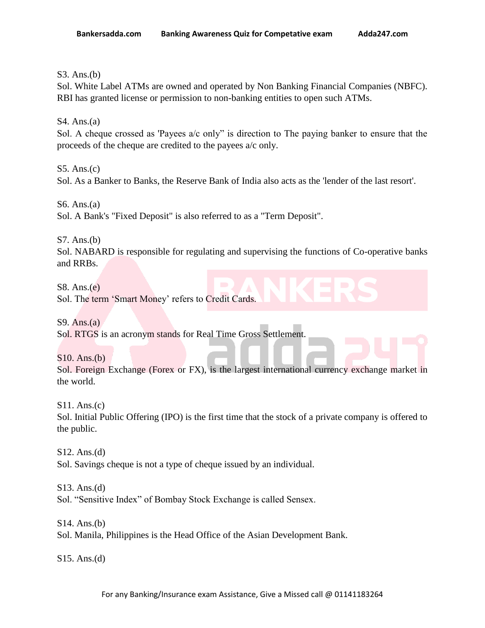S3. Ans.(b)

Sol. White Label ATMs are owned and operated by Non Banking Financial Companies (NBFC). RBI has granted license or permission to non-banking entities to open such ATMs.

S4. Ans.(a)

Sol. A cheque crossed as 'Payees a/c only" is direction to The paying banker to ensure that the proceeds of the cheque are credited to the payees a/c only.

S5. Ans.(c) Sol. As a Banker to Banks, the Reserve Bank of India also acts as the 'lender of the last resort'.

S6. Ans.(a) Sol. A Bank's "Fixed Deposit" is also referred to as a "Term Deposit".

S7. Ans.(b)

Sol. NABARD is responsible for regulating and supervising the functions of Co-operative banks and RRBs.

S8. Ans.(e) Sol. The term 'Smart Money' refers to Credit Cards.

S9. Ans. $(a)$ Sol. RTGS is an acronym stands for Real Time Gross Settlement.

S10. Ans.(b) Sol. Foreign Exchange (Forex or FX), is the largest international currency exchange market in the world.

S11. Ans.(c) Sol. Initial Public Offering (IPO) is the first time that the stock of a private company is offered to the public.

S12. Ans.(d) Sol. Savings cheque is not a type of cheque issued by an individual.

S13. Ans.(d) Sol. "Sensitive Index" of Bombay Stock Exchange is called Sensex.

S14. Ans.(b) Sol. Manila, Philippines is the Head Office of the Asian Development Bank.

S15. Ans.(d)